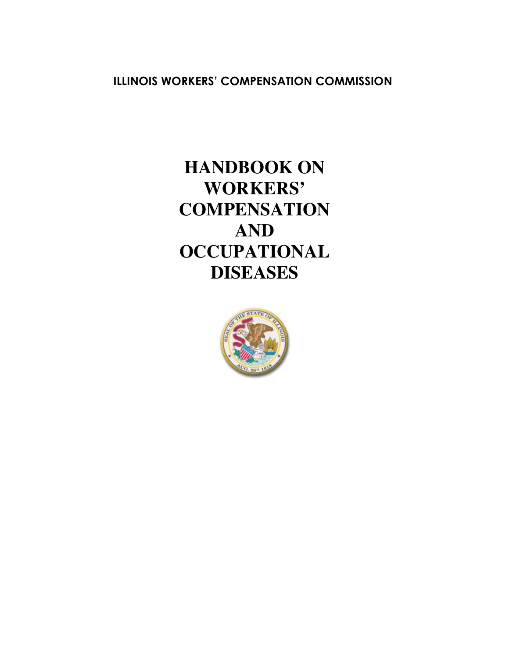**ILLINOIS WORKERS' COMPENSATION COMMISSION**

# **HANDBOOK ON WORKERS' COMPENSATION AND OCCUPATIONAL DISEASES**

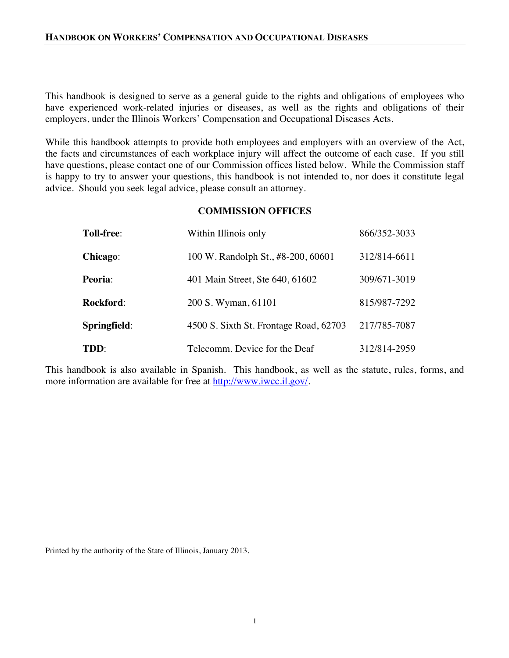This handbook is designed to serve as a general guide to the rights and obligations of employees who have experienced work-related injuries or diseases, as well as the rights and obligations of their employers, under the Illinois Workers' Compensation and Occupational Diseases Acts.

While this handbook attempts to provide both employees and employers with an overview of the Act, the facts and circumstances of each workplace injury will affect the outcome of each case. If you still have questions, please contact one of our Commission offices listed below. While the Commission staff is happy to try to answer your questions, this handbook is not intended to, nor does it constitute legal advice. Should you seek legal advice, please consult an attorney.

# **COMMISSION OFFICES**

| <b>Toll-free:</b> | Within Illinois only                   | 866/352-3033 |
|-------------------|----------------------------------------|--------------|
| Chicago:          | 100 W. Randolph St., #8-200, 60601     | 312/814-6611 |
| <b>Peoria:</b>    | 401 Main Street, Ste 640, 61602        | 309/671-3019 |
| <b>Rockford:</b>  | 200 S. Wyman, 61101                    | 815/987-7292 |
| Springfield:      | 4500 S. Sixth St. Frontage Road, 62703 | 217/785-7087 |
| TDD:              | Telecomm. Device for the Deaf          | 312/814-2959 |

This handbook is also available in Spanish. This handbook, as well as the statute, rules, forms, and more information are available for free at http://www.iwcc.il.gov/.

Printed by the authority of the State of Illinois, January 2013.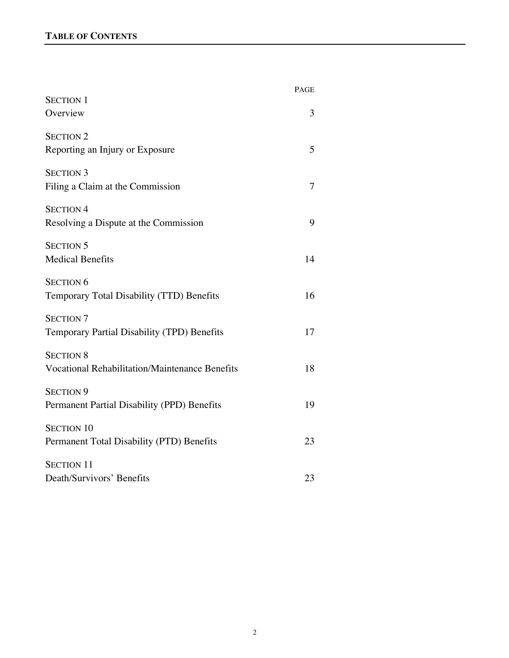|                                                                           | <b>PAGE</b> |
|---------------------------------------------------------------------------|-------------|
| <b>SECTION 1</b><br>Overview                                              | 3           |
| <b>SECTION 2</b><br>Reporting an Injury or Exposure                       | 5           |
| <b>SECTION 3</b><br>Filing a Claim at the Commission                      | 7           |
| <b>SECTION 4</b><br>Resolving a Dispute at the Commission                 | 9           |
| <b>SECTION 5</b><br><b>Medical Benefits</b>                               | 14          |
| <b>SECTION 6</b><br>Temporary Total Disability (TTD) Benefits             | 16          |
| <b>SECTION 7</b><br>Temporary Partial Disability (TPD) Benefits           | 17          |
| <b>SECTION 8</b><br><b>Vocational Rehabilitation/Maintenance Benefits</b> | 18          |
| <b>SECTION 9</b><br>Permanent Partial Disability (PPD) Benefits           | 19          |
| <b>SECTION 10</b><br>Permanent Total Disability (PTD) Benefits            | 23          |
| <b>SECTION 11</b><br>Death/Survivors' Benefits                            | 23          |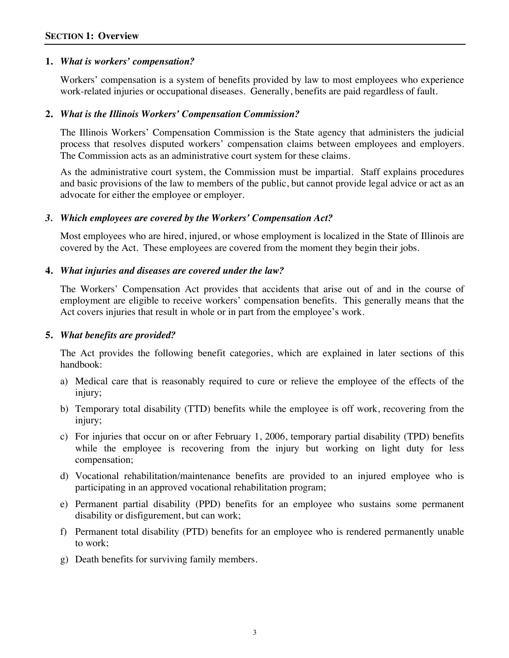# **1.** *What is workers' compensation?*

Workers' compensation is a system of benefits provided by law to most employees who experience work-related injuries or occupational diseases. Generally, benefits are paid regardless of fault.

# **2.** *What is the Illinois Workers' Compensation Commission?*

The Illinois Workers' Compensation Commission is the State agency that administers the judicial process that resolves disputed workers' compensation claims between employees and employers. The Commission acts as an administrative court system for these claims.

As the administrative court system, the Commission must be impartial. Staff explains procedures and basic provisions of the law to members of the public, but cannot provide legal advice or act as an advocate for either the employee or employer.

# *3. Which employees are covered by the Workers' Compensation Act?*

Most employees who are hired, injured, or whose employment is localized in the State of Illinois are covered by the Act. These employees are covered from the moment they begin their jobs.

# **4.** *What injuries and diseases are covered under the law?*

The Workers' Compensation Act provides that accidents that arise out of and in the course of employment are eligible to receive workers' compensation benefits. This generally means that the Act covers injuries that result in whole or in part from the employee's work.

# **5.** *What benefits are provided?*

The Act provides the following benefit categories, which are explained in later sections of this handbook:

- a) Medical care that is reasonably required to cure or relieve the employee of the effects of the injury;
- b) Temporary total disability (TTD) benefits while the employee is off work, recovering from the injury;
- c) For injuries that occur on or after February 1, 2006, temporary partial disability (TPD) benefits while the employee is recovering from the injury but working on light duty for less compensation;
- d) Vocational rehabilitation/maintenance benefits are provided to an injured employee who is participating in an approved vocational rehabilitation program;
- e) Permanent partial disability (PPD) benefits for an employee who sustains some permanent disability or disfigurement, but can work;
- f) Permanent total disability (PTD) benefits for an employee who is rendered permanently unable to work;
- g) Death benefits for surviving family members.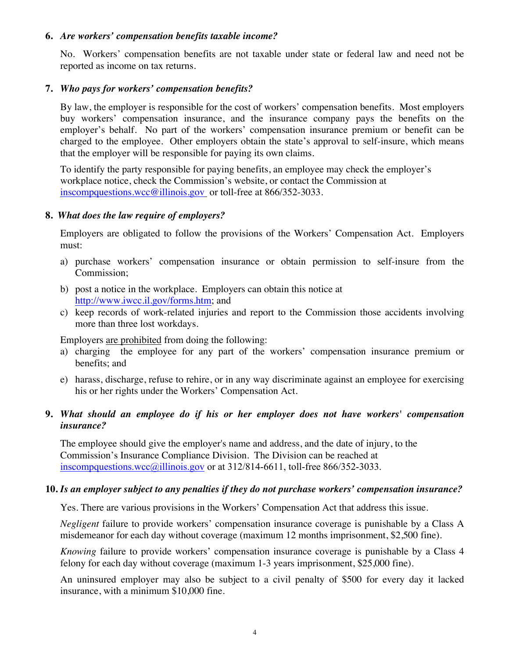# **6.** *Are workers' compensation benefits taxable income?*

No. Workers' compensation benefits are not taxable under state or federal law and need not be reported as income on tax returns.

# **7.** *Who pays for workers' compensation benefits?*

By law, the employer is responsible for the cost of workers' compensation benefits. Most employers buy workers' compensation insurance, and the insurance company pays the benefits on the employer's behalf. No part of the workers' compensation insurance premium or benefit can be charged to the employee. Other employers obtain the state's approval to self-insure, which means that the employer will be responsible for paying its own claims.

To identify the party responsible for paying benefits, an employee may check the employer's workplace notice, check the Commission's website, or contact the Commission at inscompquestions.wcc@illinois.gov or toll-free at 866/352-3033.

# **8.** *What does the law require of employers?*

Employers are obligated to follow the provisions of the Workers' Compensation Act. Employers must:

- a) purchase workers' compensation insurance or obtain permission to self-insure from the Commission;
- b) post a notice in the workplace. Employers can obtain this notice at http://www.iwcc.il.gov/forms.htm; and
- c) keep records of work-related injuries and report to the Commission those accidents involving more than three lost workdays.

Employers are prohibited from doing the following:

- a) charging the employee for any part of the workers' compensation insurance premium or benefits; and
- e) harass, discharge, refuse to rehire, or in any way discriminate against an employee for exercising his or her rights under the Workers' Compensation Act.

# **9.** *What should an employee do if his or her employer does not have workers' compensation insurance?*

The employee should give the employer's name and address, and the date of injury, to the Commission's Insurance Compliance Division. The Division can be reached at inscompquestions.wcc@illinois.gov or at 312/814-6611, toll-free 866/352-3033.

# **10.** *Is an employer subject to any penalties if they do not purchase workers' compensation insurance?*

Yes. There are various provisions in the Workers' Compensation Act that address this issue.

*Negligent* failure to provide workers' compensation insurance coverage is punishable by a Class A misdemeanor for each day without coverage (maximum 12 months imprisonment, \$2,500 fine).

*Knowing* failure to provide workers' compensation insurance coverage is punishable by a Class 4 felony for each day without coverage (maximum 1-3 years imprisonment, \$25,000 fine).

An uninsured employer may also be subject to a civil penalty of \$500 for every day it lacked insurance, with a minimum \$10,000 fine.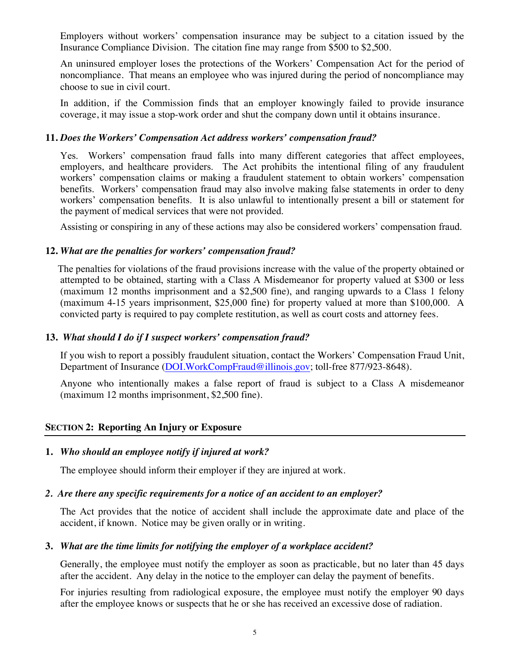Employers without workers' compensation insurance may be subject to a citation issued by the Insurance Compliance Division. The citation fine may range from \$500 to \$2,500.

An uninsured employer loses the protections of the Workers' Compensation Act for the period of noncompliance. That means an employee who was injured during the period of noncompliance may choose to sue in civil court.

In addition, if the Commission finds that an employer knowingly failed to provide insurance coverage, it may issue a stop-work order and shut the company down until it obtains insurance.

# **11.** *Does the Workers' Compensation Act address workers' compensation fraud?*

Yes. Workers' compensation fraud falls into many different categories that affect employees, employers, and healthcare providers. The Act prohibits the intentional filing of any fraudulent workers' compensation claims or making a fraudulent statement to obtain workers' compensation benefits. Workers' compensation fraud may also involve making false statements in order to deny workers' compensation benefits. It is also unlawful to intentionally present a bill or statement for the payment of medical services that were not provided.

Assisting or conspiring in any of these actions may also be considered workers' compensation fraud.

# **12.** *What are the penalties for workers' compensation fraud?*

 The penalties for violations of the fraud provisions increase with the value of the property obtained or attempted to be obtained, starting with a Class A Misdemeanor for property valued at \$300 or less (maximum 12 months imprisonment and a \$2,500 fine), and ranging upwards to a Class 1 felony (maximum 4-15 years imprisonment, \$25,000 fine) for property valued at more than \$100,000. A convicted party is required to pay complete restitution, as well as court costs and attorney fees.

# **13.** *What should I do if I suspect workers' compensation fraud?*

If you wish to report a possibly fraudulent situation, contact the Workers' Compensation Fraud Unit, Department of Insurance (DOI.WorkCompFraud@illinois.gov; toll-free 877/923-8648).

Anyone who intentionally makes a false report of fraud is subject to a Class A misdemeanor (maximum 12 months imprisonment, \$2,500 fine).

# **SECTION 2: Reporting An Injury or Exposure**

# **1.** *Who should an employee notify if injured at work?*

The employee should inform their employer if they are injured at work.

# *2. Are there any specific requirements for a notice of an accident to an employer?*

The Act provides that the notice of accident shall include the approximate date and place of the accident, if known. Notice may be given orally or in writing.

# **3.** *What are the time limits for notifying the employer of a workplace accident?*

Generally, the employee must notify the employer as soon as practicable, but no later than 45 days after the accident. Any delay in the notice to the employer can delay the payment of benefits.

For injuries resulting from radiological exposure, the employee must notify the employer 90 days after the employee knows or suspects that he or she has received an excessive dose of radiation.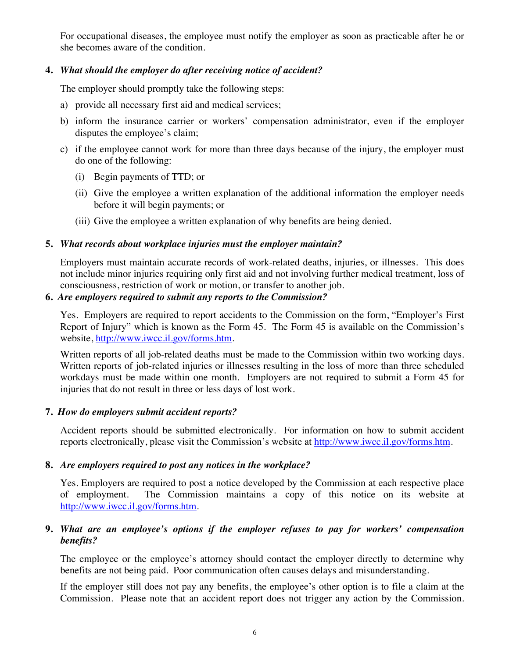For occupational diseases, the employee must notify the employer as soon as practicable after he or she becomes aware of the condition.

# **4.** *What should the employer do after receiving notice of accident?*

The employer should promptly take the following steps:

- a) provide all necessary first aid and medical services;
- b) inform the insurance carrier or workers' compensation administrator, even if the employer disputes the employee's claim;
- c) if the employee cannot work for more than three days because of the injury, the employer must do one of the following:
	- (i) Begin payments of TTD; or
	- (ii) Give the employee a written explanation of the additional information the employer needs before it will begin payments; or
	- (iii) Give the employee a written explanation of why benefits are being denied.

# **5.** *What records about workplace injuries must the employer maintain?*

Employers must maintain accurate records of work-related deaths, injuries, or illnesses. This does not include minor injuries requiring only first aid and not involving further medical treatment, loss of consciousness, restriction of work or motion, or transfer to another job.

# **6.** *Are employers required to submit any reports to the Commission?*

Yes. Employers are required to report accidents to the Commission on the form, "Employer's First Report of Injury" which is known as the Form 45. The Form 45 is available on the Commission's website, http://www.iwcc.il.gov/forms.htm.

Written reports of all job-related deaths must be made to the Commission within two working days. Written reports of job-related injuries or illnesses resulting in the loss of more than three scheduled workdays must be made within one month. Employers are not required to submit a Form 45 for injuries that do not result in three or less days of lost work.

# **7.** *How do employers submit accident reports?*

Accident reports should be submitted electronically. For information on how to submit accident reports electronically, please visit the Commission's website at http://www.iwcc.il.gov/forms.htm.

# **8.** *Are employers required to post any notices in the workplace?*

Yes. Employers are required to post a notice developed by the Commission at each respective place of employment. The Commission maintains a copy of this notice on its website at http://www.iwcc.il.gov/forms.htm.

# **9.** *What are an employee's options if the employer refuses to pay for workers' compensation benefits?*

The employee or the employee's attorney should contact the employer directly to determine why benefits are not being paid. Poor communication often causes delays and misunderstanding.

If the employer still does not pay any benefits, the employee's other option is to file a claim at the Commission. Please note that an accident report does not trigger any action by the Commission.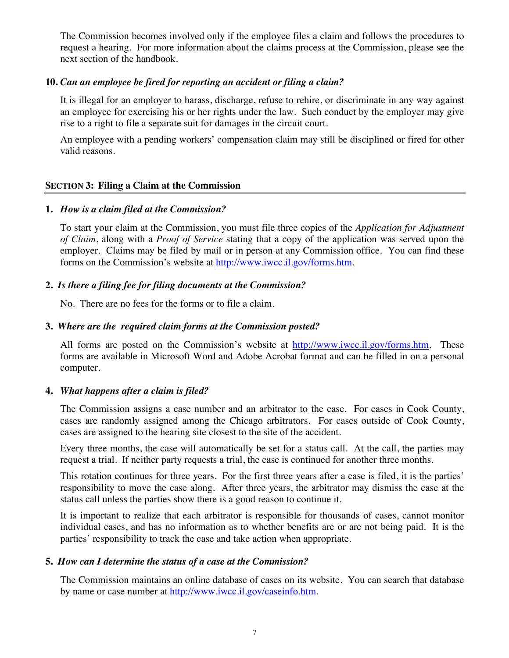The Commission becomes involved only if the employee files a claim and follows the procedures to request a hearing. For more information about the claims process at the Commission, please see the next section of the handbook.

# **10.** *Can an employee be fired for reporting an accident or filing a claim?*

It is illegal for an employer to harass, discharge, refuse to rehire, or discriminate in any way against an employee for exercising his or her rights under the law. Such conduct by the employer may give rise to a right to file a separate suit for damages in the circuit court.

An employee with a pending workers' compensation claim may still be disciplined or fired for other valid reasons.

#### **SECTION 3: Filing a Claim at the Commission**

#### **1.** *How is a claim filed at the Commission?*

To start your claim at the Commission, you must file three copies of the *Application for Adjustment of Claim*, along with a *Proof of Service* stating that a copy of the application was served upon the employer. Claims may be filed by mail or in person at any Commission office. You can find these forms on the Commission's website at http://www.iwcc.il.gov/forms.htm.

#### **2.** *Is there a filing fee for filing documents at the Commission?*

No. There are no fees for the forms or to file a claim.

#### **3.** *Where are the required claim forms at the Commission posted?*

All forms are posted on the Commission's website at http://www.iwcc.il.gov/forms.htm. These forms are available in Microsoft Word and Adobe Acrobat format and can be filled in on a personal computer.

#### **4.** *What happens after a claim is filed?*

The Commission assigns a case number and an arbitrator to the case. For cases in Cook County, cases are randomly assigned among the Chicago arbitrators. For cases outside of Cook County, cases are assigned to the hearing site closest to the site of the accident.

Every three months, the case will automatically be set for a status call. At the call, the parties may request a trial. If neither party requests a trial, the case is continued for another three months.

This rotation continues for three years. For the first three years after a case is filed, it is the parties' responsibility to move the case along. After three years, the arbitrator may dismiss the case at the status call unless the parties show there is a good reason to continue it.

It is important to realize that each arbitrator is responsible for thousands of cases, cannot monitor individual cases, and has no information as to whether benefits are or are not being paid. It is the parties' responsibility to track the case and take action when appropriate.

#### **5.** *How can I determine the status of a case at the Commission?*

The Commission maintains an online database of cases on its website. You can search that database by name or case number at http://www.iwcc.il.gov/caseinfo.htm.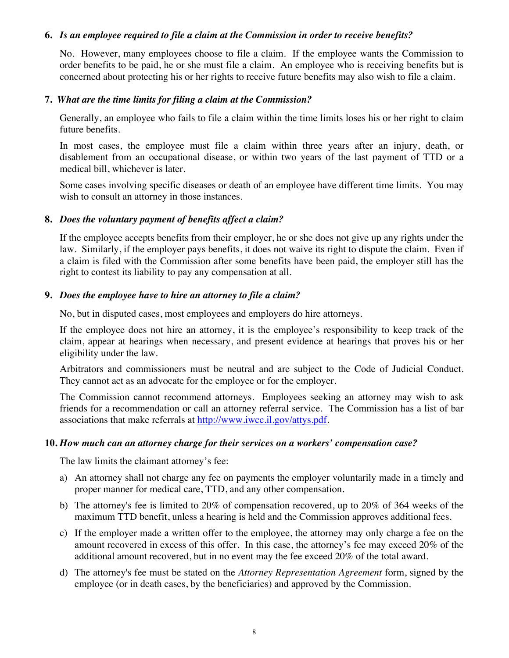#### **6.** *Is an employee required to file a claim at the Commission in order to receive benefits?*

No. However, many employees choose to file a claim. If the employee wants the Commission to order benefits to be paid, he or she must file a claim. An employee who is receiving benefits but is concerned about protecting his or her rights to receive future benefits may also wish to file a claim.

#### **7.** *What are the time limits for filing a claim at the Commission?*

Generally, an employee who fails to file a claim within the time limits loses his or her right to claim future benefits.

In most cases, the employee must file a claim within three years after an injury, death, or disablement from an occupational disease, or within two years of the last payment of TTD or a medical bill, whichever is later.

Some cases involving specific diseases or death of an employee have different time limits. You may wish to consult an attorney in those instances.

#### **8.** *Does the voluntary payment of benefits affect a claim?*

If the employee accepts benefits from their employer, he or she does not give up any rights under the law. Similarly, if the employer pays benefits, it does not waive its right to dispute the claim. Even if a claim is filed with the Commission after some benefits have been paid, the employer still has the right to contest its liability to pay any compensation at all.

# **9.** *Does the employee have to hire an attorney to file a claim?*

No, but in disputed cases, most employees and employers do hire attorneys.

If the employee does not hire an attorney, it is the employee's responsibility to keep track of the claim, appear at hearings when necessary, and present evidence at hearings that proves his or her eligibility under the law.

Arbitrators and commissioners must be neutral and are subject to the Code of Judicial Conduct. They cannot act as an advocate for the employee or for the employer.

The Commission cannot recommend attorneys. Employees seeking an attorney may wish to ask friends for a recommendation or call an attorney referral service. The Commission has a list of bar associations that make referrals at http://www.iwcc.il.gov/attys.pdf.

#### **10.** *How much can an attorney charge for their services on a workers' compensation case?*

The law limits the claimant attorney's fee:

- a) An attorney shall not charge any fee on payments the employer voluntarily made in a timely and proper manner for medical care, TTD, and any other compensation.
- b) The attorney's fee is limited to 20% of compensation recovered, up to 20% of 364 weeks of the maximum TTD benefit, unless a hearing is held and the Commission approves additional fees.
- c) If the employer made a written offer to the employee, the attorney may only charge a fee on the amount recovered in excess of this offer. In this case, the attorney's fee may exceed 20% of the additional amount recovered, but in no event may the fee exceed 20% of the total award.
- d) The attorney's fee must be stated on the *Attorney Representation Agreement* form, signed by the employee (or in death cases, by the beneficiaries) and approved by the Commission.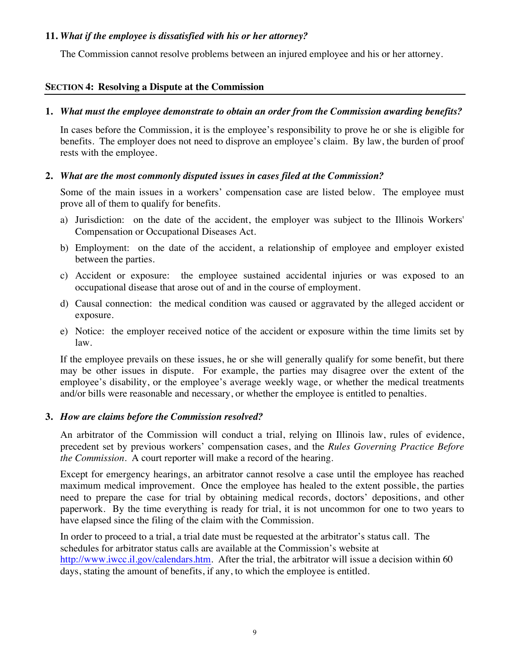# **11.** *What if the employee is dissatisfied with his or her attorney?*

The Commission cannot resolve problems between an injured employee and his or her attorney.

# **SECTION 4: Resolving a Dispute at the Commission**

# **1.** *What must the employee demonstrate to obtain an order from the Commission awarding benefits?*

In cases before the Commission, it is the employee's responsibility to prove he or she is eligible for benefits. The employer does not need to disprove an employee's claim. By law, the burden of proof rests with the employee.

# **2.** *What are the most commonly disputed issues in cases filed at the Commission?*

Some of the main issues in a workers' compensation case are listed below. The employee must prove all of them to qualify for benefits.

- a) Jurisdiction: on the date of the accident, the employer was subject to the Illinois Workers' Compensation or Occupational Diseases Act.
- b) Employment: on the date of the accident, a relationship of employee and employer existed between the parties.
- c) Accident or exposure: the employee sustained accidental injuries or was exposed to an occupational disease that arose out of and in the course of employment.
- d) Causal connection: the medical condition was caused or aggravated by the alleged accident or exposure.
- e) Notice: the employer received notice of the accident or exposure within the time limits set by law.

If the employee prevails on these issues, he or she will generally qualify for some benefit, but there may be other issues in dispute. For example, the parties may disagree over the extent of the employee's disability, or the employee's average weekly wage, or whether the medical treatments and/or bills were reasonable and necessary, or whether the employee is entitled to penalties.

# **3.** *How are claims before the Commission resolved?*

An arbitrator of the Commission will conduct a trial, relying on Illinois law, rules of evidence, precedent set by previous workers' compensation cases, and the *Rules Governing Practice Before the Commission*. A court reporter will make a record of the hearing.

Except for emergency hearings, an arbitrator cannot resolve a case until the employee has reached maximum medical improvement. Once the employee has healed to the extent possible, the parties need to prepare the case for trial by obtaining medical records, doctors' depositions, and other paperwork. By the time everything is ready for trial, it is not uncommon for one to two years to have elapsed since the filing of the claim with the Commission.

In order to proceed to a trial, a trial date must be requested at the arbitrator's status call. The schedules for arbitrator status calls are available at the Commission's website at http://www.iwcc.il.gov/calendars.htm. After the trial, the arbitrator will issue a decision within 60 days, stating the amount of benefits, if any, to which the employee is entitled.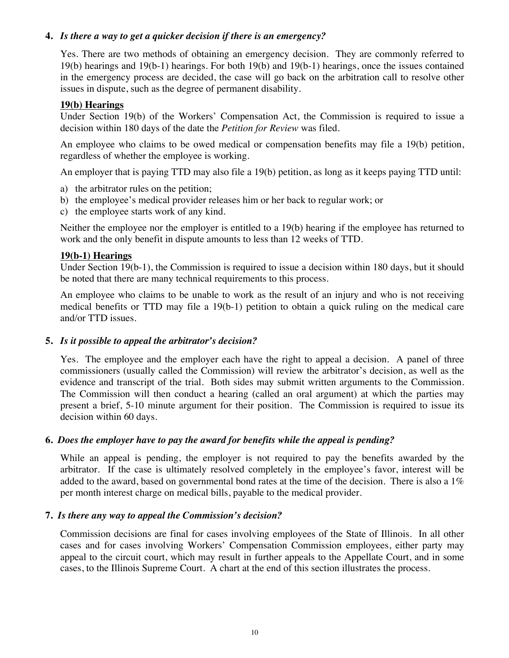# **4.** *Is there a way to get a quicker decision if there is an emergency?*

Yes. There are two methods of obtaining an emergency decision. They are commonly referred to 19(b) hearings and 19(b-1) hearings. For both 19(b) and 19(b-1) hearings, once the issues contained in the emergency process are decided, the case will go back on the arbitration call to resolve other issues in dispute, such as the degree of permanent disability.

# **19(b) Hearings**

Under Section 19(b) of the Workers' Compensation Act, the Commission is required to issue a decision within 180 days of the date the *Petition for Review* was filed.

An employee who claims to be owed medical or compensation benefits may file a 19(b) petition, regardless of whether the employee is working.

An employer that is paying TTD may also file a 19(b) petition, as long as it keeps paying TTD until:

- a) the arbitrator rules on the petition;
- b) the employee's medical provider releases him or her back to regular work; or
- c) the employee starts work of any kind.

Neither the employee nor the employer is entitled to a 19(b) hearing if the employee has returned to work and the only benefit in dispute amounts to less than 12 weeks of TTD.

# **19(b-1) Hearings**

Under Section 19(b-1), the Commission is required to issue a decision within 180 days, but it should be noted that there are many technical requirements to this process.

An employee who claims to be unable to work as the result of an injury and who is not receiving medical benefits or TTD may file a 19(b-1) petition to obtain a quick ruling on the medical care and/or TTD issues.

# **5.** *Is it possible to appeal the arbitrator's decision?*

Yes. The employee and the employer each have the right to appeal a decision. A panel of three commissioners (usually called the Commission) will review the arbitrator's decision, as well as the evidence and transcript of the trial. Both sides may submit written arguments to the Commission. The Commission will then conduct a hearing (called an oral argument) at which the parties may present a brief, 5-10 minute argument for their position. The Commission is required to issue its decision within 60 days.

# **6.** *Does the employer have to pay the award for benefits while the appeal is pending?*

While an appeal is pending, the employer is not required to pay the benefits awarded by the arbitrator. If the case is ultimately resolved completely in the employee's favor, interest will be added to the award, based on governmental bond rates at the time of the decision. There is also a  $1\%$ per month interest charge on medical bills, payable to the medical provider.

# **7.** *Is there any way to appeal the Commission's decision?*

Commission decisions are final for cases involving employees of the State of Illinois. In all other cases and for cases involving Workers' Compensation Commission employees, either party may appeal to the circuit court, which may result in further appeals to the Appellate Court, and in some cases, to the Illinois Supreme Court. A chart at the end of this section illustrates the process.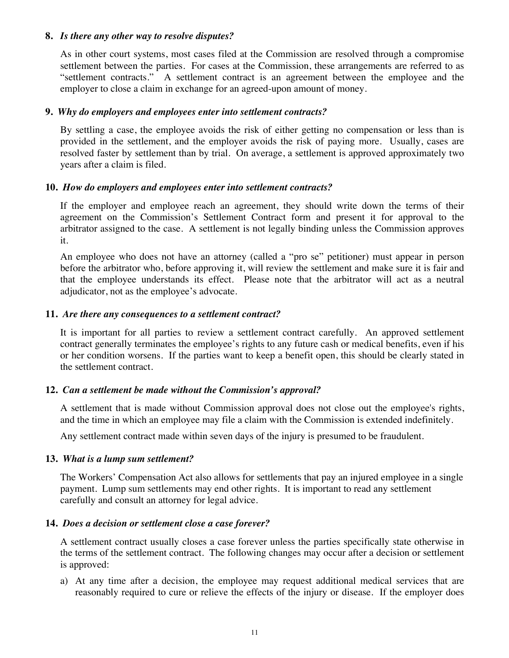# **8.** *Is there any other way to resolve disputes?*

As in other court systems, most cases filed at the Commission are resolved through a compromise settlement between the parties. For cases at the Commission, these arrangements are referred to as "settlement contracts." A settlement contract is an agreement between the employee and the employer to close a claim in exchange for an agreed-upon amount of money.

# **9.** *Why do employers and employees enter into settlement contracts?*

By settling a case, the employee avoids the risk of either getting no compensation or less than is provided in the settlement, and the employer avoids the risk of paying more. Usually, cases are resolved faster by settlement than by trial. On average, a settlement is approved approximately two years after a claim is filed.

#### **10.** *How do employers and employees enter into settlement contracts?*

If the employer and employee reach an agreement, they should write down the terms of their agreement on the Commission's Settlement Contract form and present it for approval to the arbitrator assigned to the case. A settlement is not legally binding unless the Commission approves it.

An employee who does not have an attorney (called a "pro se" petitioner) must appear in person before the arbitrator who, before approving it, will review the settlement and make sure it is fair and that the employee understands its effect. Please note that the arbitrator will act as a neutral adjudicator, not as the employee's advocate.

#### **11.** *Are there any consequences to a settlement contract?*

 It is important for all parties to review a settlement contract carefully. An approved settlement contract generally terminates the employee's rights to any future cash or medical benefits, even if his or her condition worsens. If the parties want to keep a benefit open, this should be clearly stated in the settlement contract.

# **12.** *Can a settlement be made without the Commission's approval?*

 A settlement that is made without Commission approval does not close out the employee's rights, and the time in which an employee may file a claim with the Commission is extended indefinitely.

Any settlement contract made within seven days of the injury is presumed to be fraudulent.

#### **13.** *What is a lump sum settlement?*

The Workers' Compensation Act also allows for settlements that pay an injured employee in a single payment. Lump sum settlements may end other rights. It is important to read any settlement carefully and consult an attorney for legal advice.

# **14.** *Does a decision or settlement close a case forever?*

A settlement contract usually closes a case forever unless the parties specifically state otherwise in the terms of the settlement contract. The following changes may occur after a decision or settlement is approved:

a) At any time after a decision, the employee may request additional medical services that are reasonably required to cure or relieve the effects of the injury or disease. If the employer does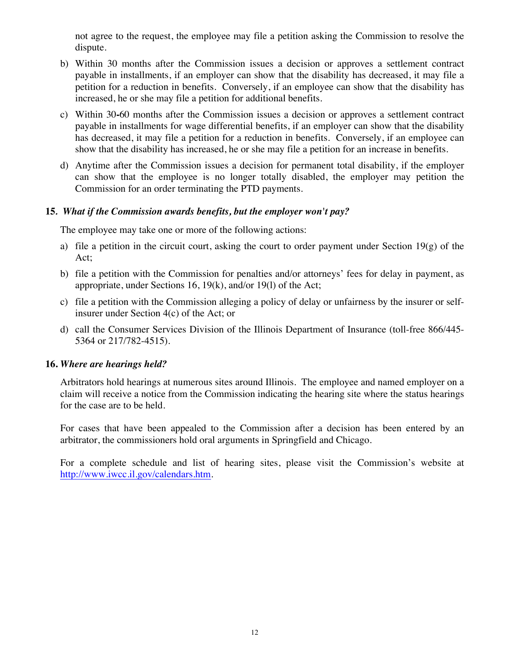not agree to the request, the employee may file a petition asking the Commission to resolve the dispute.

- b) Within 30 months after the Commission issues a decision or approves a settlement contract payable in installments, if an employer can show that the disability has decreased, it may file a petition for a reduction in benefits. Conversely, if an employee can show that the disability has increased, he or she may file a petition for additional benefits.
- c) Within 30**-**60 months after the Commission issues a decision or approves a settlement contract payable in installments for wage differential benefits, if an employer can show that the disability has decreased, it may file a petition for a reduction in benefits. Conversely, if an employee can show that the disability has increased, he or she may file a petition for an increase in benefits.
- d) Anytime after the Commission issues a decision for permanent total disability, if the employer can show that the employee is no longer totally disabled, the employer may petition the Commission for an order terminating the PTD payments.

# **15***. What if the Commission awards benefits, but the employer won't pay?*

The employee may take one or more of the following actions:

- a) file a petition in the circuit court, asking the court to order payment under Section  $19(g)$  of the Act;
- b) file a petition with the Commission for penalties and/or attorneys' fees for delay in payment, as appropriate, under Sections 16, 19(k), and/or 19(l) of the Act;
- c) file a petition with the Commission alleging a policy of delay or unfairness by the insurer or selfinsurer under Section 4(c) of the Act; or
- d) call the Consumer Services Division of the Illinois Department of Insurance (toll-free 866/445- 5364 or 217/782-4515).

# **16.** *Where are hearings held?*

Arbitrators hold hearings at numerous sites around Illinois. The employee and named employer on a claim will receive a notice from the Commission indicating the hearing site where the status hearings for the case are to be held.

 For cases that have been appealed to the Commission after a decision has been entered by an arbitrator, the commissioners hold oral arguments in Springfield and Chicago.

For a complete schedule and list of hearing sites, please visit the Commission's website at http://www.iwcc.il.gov/calendars.htm.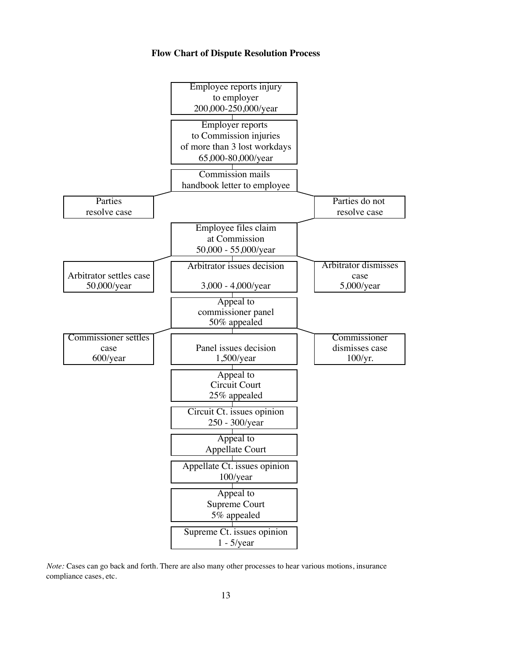#### **Flow Chart of Dispute Resolution Process**



*Note:* Cases can go back and forth. There are also many other processes to hear various motions, insurance compliance cases, etc.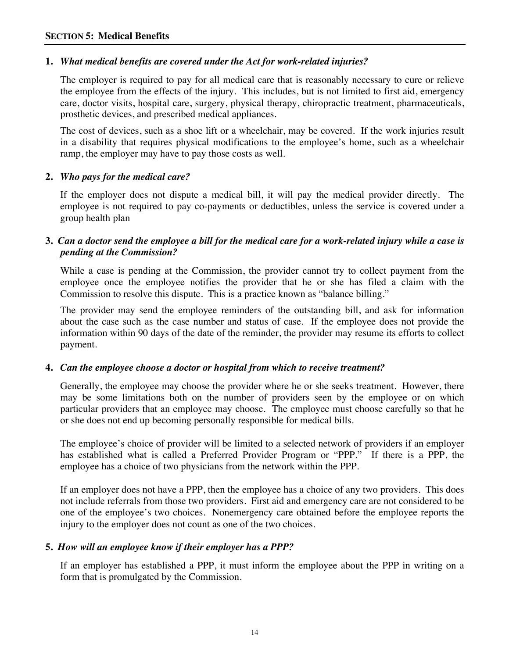# **1.** *What medical benefits are covered under the Act for work-related injuries?*

The employer is required to pay for all medical care that is reasonably necessary to cure or relieve the employee from the effects of the injury. This includes, but is not limited to first aid, emergency care, doctor visits, hospital care, surgery, physical therapy, chiropractic treatment, pharmaceuticals, prosthetic devices, and prescribed medical appliances.

The cost of devices, such as a shoe lift or a wheelchair, may be covered. If the work injuries result in a disability that requires physical modifications to the employee's home, such as a wheelchair ramp, the employer may have to pay those costs as well.

# **2.** *Who pays for the medical care?*

If the employer does not dispute a medical bill, it will pay the medical provider directly. The employee is not required to pay co-payments or deductibles, unless the service is covered under a group health plan

# **3.** *Can a doctor send the employee a bill for the medical care for a work-related injury while a case is pending at the Commission?*

While a case is pending at the Commission, the provider cannot try to collect payment from the employee once the employee notifies the provider that he or she has filed a claim with the Commission to resolve this dispute. This is a practice known as "balance billing."

The provider may send the employee reminders of the outstanding bill, and ask for information about the case such as the case number and status of case. If the employee does not provide the information within 90 days of the date of the reminder, the provider may resume its efforts to collect payment.

# **4.** *Can the employee choose a doctor or hospital from which to receive treatment?*

Generally, the employee may choose the provider where he or she seeks treatment. However, there may be some limitations both on the number of providers seen by the employee or on which particular providers that an employee may choose. The employee must choose carefully so that he or she does not end up becoming personally responsible for medical bills.

The employee's choice of provider will be limited to a selected network of providers if an employer has established what is called a Preferred Provider Program or "PPP." If there is a PPP, the employee has a choice of two physicians from the network within the PPP.

If an employer does not have a PPP, then the employee has a choice of any two providers. This does not include referrals from those two providers. First aid and emergency care are not considered to be one of the employee's two choices. Nonemergency care obtained before the employee reports the injury to the employer does not count as one of the two choices.

# **5.** *How will an employee know if their employer has a PPP?*

If an employer has established a PPP, it must inform the employee about the PPP in writing on a form that is promulgated by the Commission.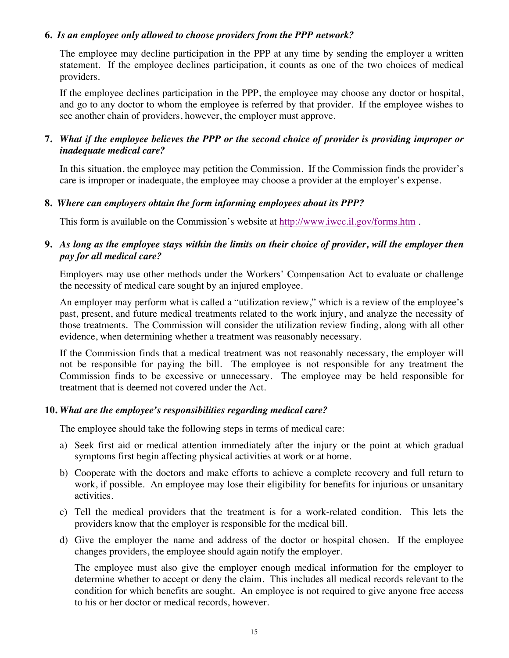# **6.** *Is an employee only allowed to choose providers from the PPP network?*

The employee may decline participation in the PPP at any time by sending the employer a written statement. If the employee declines participation, it counts as one of the two choices of medical providers.

If the employee declines participation in the PPP, the employee may choose any doctor or hospital, and go to any doctor to whom the employee is referred by that provider. If the employee wishes to see another chain of providers, however, the employer must approve.

# **7.** *What if the employee believes the PPP or the second choice of provider is providing improper or inadequate medical care?*

In this situation, the employee may petition the Commission. If the Commission finds the provider's care is improper or inadequate, the employee may choose a provider at the employer's expense.

# **8.** *Where can employers obtain the form informing employees about its PPP?*

This form is available on the Commission's website at http://www.iwcc.il.gov/forms.htm .

# **9.** *As long as the employee stays within the limits on their choice of provider, will the employer then pay for all medical care?*

Employers may use other methods under the Workers' Compensation Act to evaluate or challenge the necessity of medical care sought by an injured employee.

An employer may perform what is called a "utilization review," which is a review of the employee's past, present, and future medical treatments related to the work injury, and analyze the necessity of those treatments. The Commission will consider the utilization review finding, along with all other evidence, when determining whether a treatment was reasonably necessary.

If the Commission finds that a medical treatment was not reasonably necessary, the employer will not be responsible for paying the bill. The employee is not responsible for any treatment the Commission finds to be excessive or unnecessary. The employee may be held responsible for treatment that is deemed not covered under the Act.

# **10.** *What are the employee's responsibilities regarding medical care?*

The employee should take the following steps in terms of medical care:

- a) Seek first aid or medical attention immediately after the injury or the point at which gradual symptoms first begin affecting physical activities at work or at home.
- b) Cooperate with the doctors and make efforts to achieve a complete recovery and full return to work, if possible. An employee may lose their eligibility for benefits for injurious or unsanitary activities.
- c) Tell the medical providers that the treatment is for a work-related condition. This lets the providers know that the employer is responsible for the medical bill.
- d) Give the employer the name and address of the doctor or hospital chosen. If the employee changes providers, the employee should again notify the employer.

The employee must also give the employer enough medical information for the employer to determine whether to accept or deny the claim. This includes all medical records relevant to the condition for which benefits are sought. An employee is not required to give anyone free access to his or her doctor or medical records, however.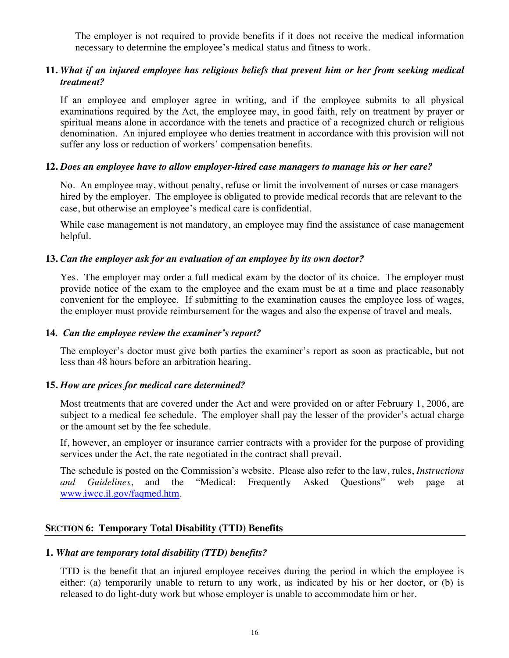The employer is not required to provide benefits if it does not receive the medical information necessary to determine the employee's medical status and fitness to work.

# **11.** *What if an injured employee has religious beliefs that prevent him or her from seeking medical treatment?*

If an employee and employer agree in writing, and if the employee submits to all physical examinations required by the Act, the employee may, in good faith, rely on treatment by prayer or spiritual means alone in accordance with the tenets and practice of a recognized church or religious denomination. An injured employee who denies treatment in accordance with this provision will not suffer any loss or reduction of workers' compensation benefits.

#### **12.** *Does an employee have to allow employer-hired case managers to manage his or her care?*

No. An employee may, without penalty, refuse or limit the involvement of nurses or case managers hired by the employer. The employee is obligated to provide medical records that are relevant to the case, but otherwise an employee's medical care is confidential.

While case management is not mandatory, an employee may find the assistance of case management helpful.

#### **13.** *Can the employer ask for an evaluation of an employee by its own doctor?*

Yes. The employer may order a full medical exam by the doctor of its choice. The employer must provide notice of the exam to the employee and the exam must be at a time and place reasonably convenient for the employee. If submitting to the examination causes the employee loss of wages, the employer must provide reimbursement for the wages and also the expense of travel and meals.

#### **14.** *Can the employee review the examiner's report?*

The employer's doctor must give both parties the examiner's report as soon as practicable, but not less than 48 hours before an arbitration hearing.

#### **15.** *How are prices for medical care determined?*

Most treatments that are covered under the Act and were provided on or after February 1, 2006, are subject to a medical fee schedule. The employer shall pay the lesser of the provider's actual charge or the amount set by the fee schedule.

If, however, an employer or insurance carrier contracts with a provider for the purpose of providing services under the Act, the rate negotiated in the contract shall prevail.

The schedule is posted on the Commission's website. Please also refer to the law, rules, *Instructions and Guidelines*, and the "Medical: Frequently Asked Questions" web page at www.iwcc.il.gov/faqmed.htm.

#### **SECTION 6: Temporary Total Disability (TTD) Benefits**

#### **1.** *What are temporary total disability (TTD) benefits?*

TTD is the benefit that an injured employee receives during the period in which the employee is either: (a) temporarily unable to return to any work, as indicated by his or her doctor, or (b) is released to do light-duty work but whose employer is unable to accommodate him or her.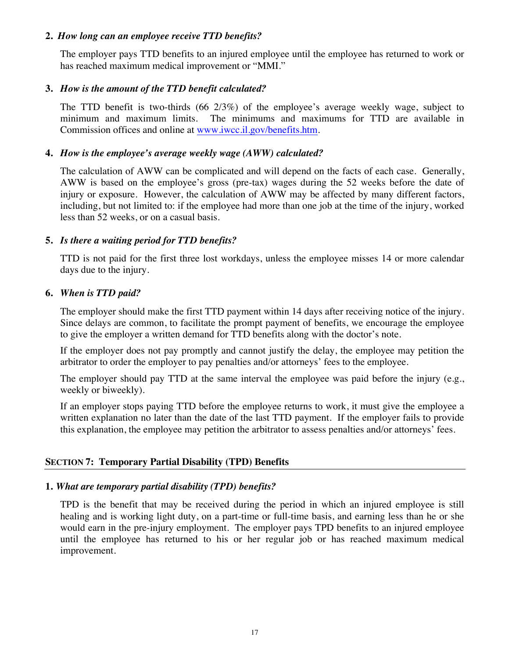# **2.** *How long can an employee receive TTD benefits?*

The employer pays TTD benefits to an injured employee until the employee has returned to work or has reached maximum medical improvement or "MMI."

# **3.** *How is the amount of the TTD benefit calculated?*

The TTD benefit is two-thirds (66 2/3%) of the employee's average weekly wage, subject to minimum and maximum limits. The minimums and maximums for TTD are available in Commission offices and online at www.iwcc.il.gov/benefits.htm.

# **4.** *How is the employee's average weekly wage (AWW) calculated?*

The calculation of AWW can be complicated and will depend on the facts of each case. Generally, AWW is based on the employee's gross (pre-tax) wages during the 52 weeks before the date of injury or exposure. However, the calculation of AWW may be affected by many different factors, including, but not limited to: if the employee had more than one job at the time of the injury, worked less than 52 weeks, or on a casual basis.

# **5.** *Is there a waiting period for TTD benefits?*

TTD is not paid for the first three lost workdays, unless the employee misses 14 or more calendar days due to the injury.

#### **6.** *When is TTD paid?*

The employer should make the first TTD payment within 14 days after receiving notice of the injury. Since delays are common, to facilitate the prompt payment of benefits, we encourage the employee to give the employer a written demand for TTD benefits along with the doctor's note.

If the employer does not pay promptly and cannot justify the delay, the employee may petition the arbitrator to order the employer to pay penalties and/or attorneys' fees to the employee.

The employer should pay TTD at the same interval the employee was paid before the injury (e.g., weekly or biweekly).

If an employer stops paying TTD before the employee returns to work, it must give the employee a written explanation no later than the date of the last TTD payment. If the employer fails to provide this explanation, the employee may petition the arbitrator to assess penalties and/or attorneys' fees.

# **SECTION 7: Temporary Partial Disability (TPD) Benefits**

#### **1.** *What are temporary partial disability (TPD) benefits?*

TPD is the benefit that may be received during the period in which an injured employee is still healing and is working light duty, on a part-time or full-time basis, and earning less than he or she would earn in the pre-injury employment. The employer pays TPD benefits to an injured employee until the employee has returned to his or her regular job or has reached maximum medical improvement.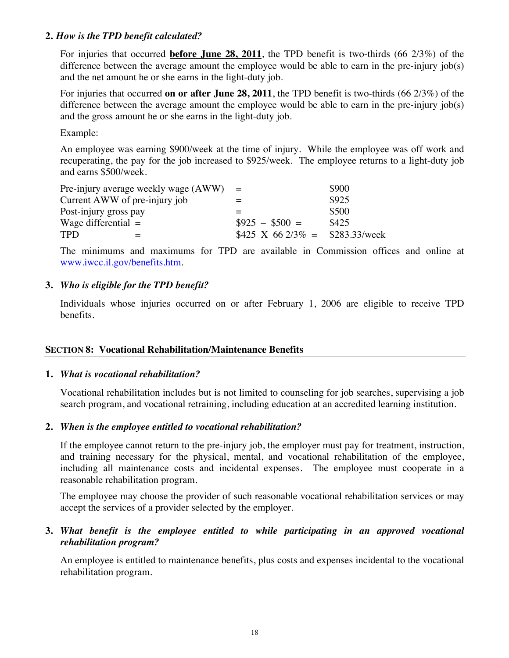# **2.** *How is the TPD benefit calculated?*

For injuries that occurred **before June 28, 2011**, the TPD benefit is two-thirds (66 2/3%) of the difference between the average amount the employee would be able to earn in the pre-injury job(s) and the net amount he or she earns in the light-duty job.

For injuries that occurred **on or after June 28, 2011**, the TPD benefit is two-thirds (66 2/3%) of the difference between the average amount the employee would be able to earn in the pre-injury job(s) and the gross amount he or she earns in the light-duty job.

Example:

An employee was earning \$900/week at the time of injury. While the employee was off work and recuperating, the pay for the job increased to \$925/week. The employee returns to a light-duty job and earns \$500/week.

| Pre-injury average weekly wage $(AWW)$ = |                                  | \$900 |
|------------------------------------------|----------------------------------|-------|
| Current AWW of pre-injury job            |                                  | \$925 |
| Post-injury gross pay                    |                                  | \$500 |
| Wage differential $=$                    | $\$925 - \$500 =$                | \$425 |
| <b>TPD</b>                               | \$425 X 66 2/3\% = \$283.33/week |       |

The minimums and maximums for TPD are available in Commission offices and online at www.iwcc.il.gov/benefits.htm.

#### **3.** *Who is eligible for the TPD benefit?*

Individuals whose injuries occurred on or after February 1, 2006 are eligible to receive TPD benefits.

#### **SECTION 8: Vocational Rehabilitation/Maintenance Benefits**

#### **1.** *What is vocational rehabilitation?*

Vocational rehabilitation includes but is not limited to counseling for job searches, supervising a job search program, and vocational retraining, including education at an accredited learning institution.

#### **2.** *When is the employee entitled to vocational rehabilitation?*

If the employee cannot return to the pre-injury job, the employer must pay for treatment, instruction, and training necessary for the physical, mental, and vocational rehabilitation of the employee, including all maintenance costs and incidental expenses. The employee must cooperate in a reasonable rehabilitation program.

The employee may choose the provider of such reasonable vocational rehabilitation services or may accept the services of a provider selected by the employer.

# **3.** *What benefit is the employee entitled to while participating in an approved vocational rehabilitation program?*

An employee is entitled to maintenance benefits, plus costs and expenses incidental to the vocational rehabilitation program.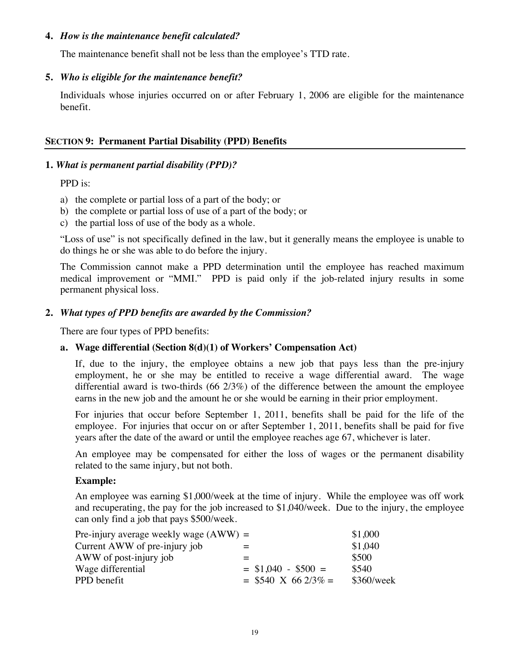# **4.** *How is the maintenance benefit calculated?*

The maintenance benefit shall not be less than the employee's TTD rate.

# **5.** *Who is eligible for the maintenance benefit?*

Individuals whose injuries occurred on or after February 1, 2006 are eligible for the maintenance benefit.

#### **SECTION 9: Permanent Partial Disability (PPD) Benefits**

#### **1.** *What is permanent partial disability (PPD)?*

# PPD is:

- a) the complete or partial loss of a part of the body; or
- b) the complete or partial loss of use of a part of the body; or
- c) the partial loss of use of the body as a whole.

"Loss of use" is not specifically defined in the law, but it generally means the employee is unable to do things he or she was able to do before the injury.

The Commission cannot make a PPD determination until the employee has reached maximum medical improvement or "MMI." PPD is paid only if the job-related injury results in some permanent physical loss.

# **2.** *What types of PPD benefits are awarded by the Commission?*

There are four types of PPD benefits:

# **a. Wage differential (Section 8(d)(1) of Workers' Compensation Act)**

If, due to the injury, the employee obtains a new job that pays less than the pre-injury employment, he or she may be entitled to receive a wage differential award. The wage differential award is two-thirds (66 2/3%) of the difference between the amount the employee earns in the new job and the amount he or she would be earning in their prior employment.

For injuries that occur before September 1, 2011, benefits shall be paid for the life of the employee. For injuries that occur on or after September 1, 2011, benefits shall be paid for five years after the date of the award or until the employee reaches age 67, whichever is later.

An employee may be compensated for either the loss of wages or the permanent disability related to the same injury, but not both.

#### **Example:**

An employee was earning \$1,000/week at the time of injury. While the employee was off work and recuperating, the pay for the job increased to \$1,040/week. Due to the injury, the employee can only find a job that pays \$500/week.

| Pre-injury average weekly wage $(AWW) =$ |                        | \$1,000    |
|------------------------------------------|------------------------|------------|
| Current AWW of pre-injury job            |                        | \$1,040    |
| AWW of post-injury job                   |                        | \$500      |
| Wage differential                        | $=$ \$1,040 - \$500 =  | \$540      |
| PPD benefit                              | $=$ \$540 X 66 2/3\% = | \$360/week |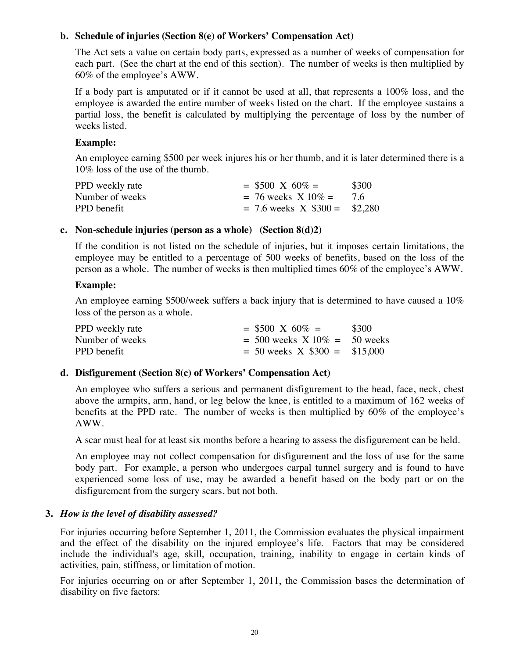# **b. Schedule of injuries (Section 8(e) of Workers' Compensation Act)**

The Act sets a value on certain body parts, expressed as a number of weeks of compensation for each part. (See the chart at the end of this section). The number of weeks is then multiplied by 60% of the employee's AWW.

If a body part is amputated or if it cannot be used at all, that represents a 100% loss, and the employee is awarded the entire number of weeks listed on the chart. If the employee sustains a partial loss, the benefit is calculated by multiplying the percentage of loss by the number of weeks listed.

# **Example:**

An employee earning \$500 per week injures his or her thumb, and it is later determined there is a 10% loss of the use of the thumb.

| PPD weekly rate | $=$ \$500 X 60% $=$               | \$300 |
|-----------------|-----------------------------------|-------|
| Number of weeks | $= 76$ weeks $X 10\% =$           | -76   |
| PPD benefit     | $= 7.6$ weeks X $\$300 = \$2,280$ |       |

# **c. Non-schedule injuries (person as a whole) (Section 8(d)2)**

If the condition is not listed on the schedule of injuries, but it imposes certain limitations, the employee may be entitled to a percentage of 500 weeks of benefits, based on the loss of the person as a whole. The number of weeks is then multiplied times 60% of the employee's AWW.

# **Example:**

An employee earning \$500/week suffers a back injury that is determined to have caused a 10% loss of the person as a whole.

| PPD weekly rate | $=$ \$500 X 60% $=$              | \$300 |
|-----------------|----------------------------------|-------|
| Number of weeks | $= 500$ weeks $X10\% = 50$ weeks |       |
| PPD benefit     | $= 50$ weeks X \$300 = \$15,000  |       |

# **d. Disfigurement (Section 8(c) of Workers' Compensation Act)**

An employee who suffers a serious and permanent disfigurement to the head, face, neck, chest above the armpits, arm, hand, or leg below the knee, is entitled to a maximum of 162 weeks of benefits at the PPD rate. The number of weeks is then multiplied by 60% of the employee's AWW.

A scar must heal for at least six months before a hearing to assess the disfigurement can be held.

An employee may not collect compensation for disfigurement and the loss of use for the same body part. For example, a person who undergoes carpal tunnel surgery and is found to have experienced some loss of use, may be awarded a benefit based on the body part or on the disfigurement from the surgery scars, but not both.

# **3.** *How is the level of disability assessed?*

For injuries occurring before September 1, 2011, the Commission evaluates the physical impairment and the effect of the disability on the injured employee's life. Factors that may be considered include the individual's age, skill, occupation, training, inability to engage in certain kinds of activities, pain, stiffness, or limitation of motion.

For injuries occurring on or after September 1, 2011, the Commission bases the determination of disability on five factors: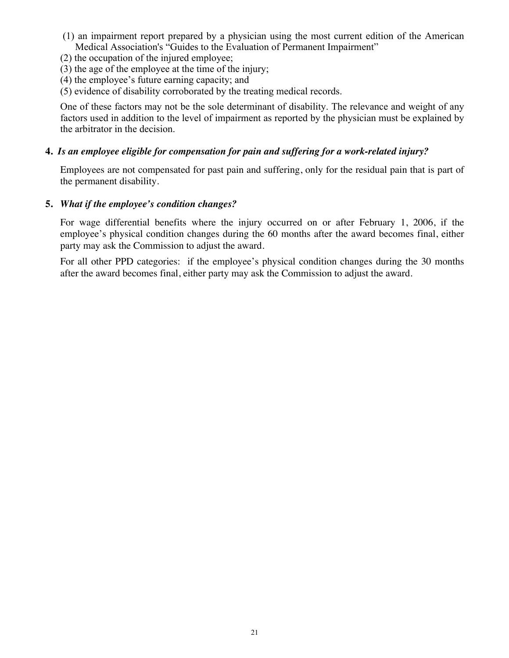- (1) an impairment report prepared by a physician using the most current edition of the American Medical Association's "Guides to the Evaluation of Permanent Impairment"
- (2) the occupation of the injured employee;
- (3) the age of the employee at the time of the injury;
- (4) the employee's future earning capacity; and
- (5) evidence of disability corroborated by the treating medical records.

One of these factors may not be the sole determinant of disability. The relevance and weight of any factors used in addition to the level of impairment as reported by the physician must be explained by the arbitrator in the decision.

# **4.** *Is an employee eligible for compensation for pain and suffering for a work-related injury?*

Employees are not compensated for past pain and suffering, only for the residual pain that is part of the permanent disability.

# **5.** *What if the employee's condition changes?*

For wage differential benefits where the injury occurred on or after February 1, 2006, if the employee's physical condition changes during the 60 months after the award becomes final, either party may ask the Commission to adjust the award.

For all other PPD categories: if the employee's physical condition changes during the 30 months after the award becomes final, either party may ask the Commission to adjust the award.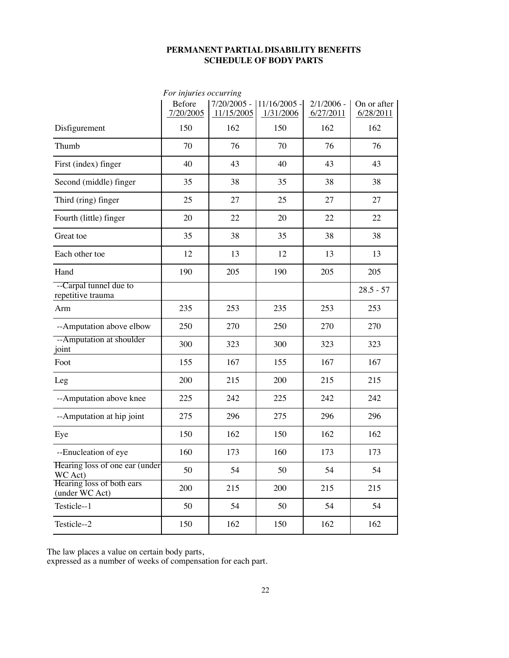#### **PERMANENT PARTIAL DISABILITY BENEFITS SCHEDULE OF BODY PARTS**

|                                             | For injuries occurring     |                             |                           |                           |                          |
|---------------------------------------------|----------------------------|-----------------------------|---------------------------|---------------------------|--------------------------|
|                                             | <b>Before</b><br>7/20/2005 | $7/20/2005$ -<br>11/15/2005 | 11/16/2005 -<br>1/31/2006 | $2/1/2006$ -<br>6/27/2011 | On or after<br>6/28/2011 |
| Disfigurement                               | 150                        | 162                         | 150                       | 162                       | 162                      |
| Thumb                                       | 70                         | 76                          | 70                        | 76                        | 76                       |
| First (index) finger                        | 40                         | 43                          | 40                        | 43                        | 43                       |
| Second (middle) finger                      | 35                         | 38                          | 35                        | 38                        | 38                       |
| Third (ring) finger                         | 25                         | 27                          | 25                        | 27                        | 27                       |
| Fourth (little) finger                      | 20                         | 22                          | 20                        | 22                        | 22                       |
| Great toe                                   | 35                         | 38                          | 35                        | 38                        | 38                       |
| Each other toe                              | 12                         | 13                          | 12                        | 13                        | 13                       |
| Hand                                        | 190                        | 205                         | 190                       | 205                       | 205                      |
| --Carpal tunnel due to<br>repetitive trauma |                            |                             |                           |                           | $28.5 - 57$              |
| Arm                                         | 235                        | 253                         | 235                       | 253                       | 253                      |
| --Amputation above elbow                    | 250                        | 270                         | 250                       | 270                       | 270                      |
| --Amputation at shoulder<br>joint           | 300                        | 323                         | 300                       | 323                       | 323                      |
| Foot                                        | 155                        | 167                         | 155                       | 167                       | 167                      |
| Leg                                         | 200                        | 215                         | 200                       | 215                       | 215                      |
| --Amputation above knee                     | 225                        | 242                         | 225                       | 242                       | 242                      |
| --Amputation at hip joint                   | 275                        | 296                         | 275                       | 296                       | 296                      |
| Eye                                         | 150                        | 162                         | 150                       | 162                       | 162                      |
| --Enucleation of eye                        | 160                        | 173                         | 160                       | 173                       | 173                      |
| Hearing loss of one ear (under)<br>WC Act)  | 50                         | 54                          | 50                        | 54                        | 54                       |
| Hearing loss of both ears<br>(under WC Act) | 200                        | 215                         | 200                       | 215                       | 215                      |
| Testicle--1                                 | 50                         | 54                          | 50                        | 54                        | 54                       |
| Testicle--2                                 | 150                        | 162                         | 150                       | 162                       | 162                      |

The law places a value on certain body parts,

expressed as a number of weeks of compensation for each part.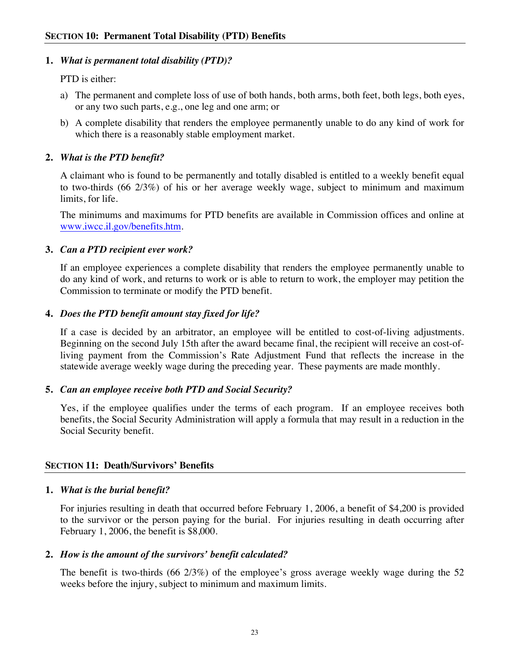# **1.** *What is permanent total disability (PTD)?*

PTD is either:

- a) The permanent and complete loss of use of both hands, both arms, both feet, both legs, both eyes, or any two such parts, e.g., one leg and one arm; or
- b) A complete disability that renders the employee permanently unable to do any kind of work for which there is a reasonably stable employment market.

# **2.** *What is the PTD benefit?*

A claimant who is found to be permanently and totally disabled is entitled to a weekly benefit equal to two-thirds (66 2/3%) of his or her average weekly wage, subject to minimum and maximum limits, for life.

The minimums and maximums for PTD benefits are available in Commission offices and online at www.iwcc.il.gov/benefits.htm.

# **3.** *Can a PTD recipient ever work?*

If an employee experiences a complete disability that renders the employee permanently unable to do any kind of work, and returns to work or is able to return to work, the employer may petition the Commission to terminate or modify the PTD benefit.

# **4.** *Does the PTD benefit amount stay fixed for life?*

If a case is decided by an arbitrator, an employee will be entitled to cost-of-living adjustments. Beginning on the second July 15th after the award became final, the recipient will receive an cost-ofliving payment from the Commission's Rate Adjustment Fund that reflects the increase in the statewide average weekly wage during the preceding year. These payments are made monthly.

# **5.** *Can an employee receive both PTD and Social Security?*

Yes, if the employee qualifies under the terms of each program. If an employee receives both benefits, the Social Security Administration will apply a formula that may result in a reduction in the Social Security benefit.

# **SECTION 11: Death/Survivors' Benefits**

# **1.** *What is the burial benefit?*

For injuries resulting in death that occurred before February 1, 2006, a benefit of \$4,200 is provided to the survivor or the person paying for the burial. For injuries resulting in death occurring after February 1, 2006, the benefit is \$8,000.

# **2.** *How is the amount of the survivors' benefit calculated?*

The benefit is two-thirds (66 2/3%) of the employee's gross average weekly wage during the 52 weeks before the injury, subject to minimum and maximum limits.